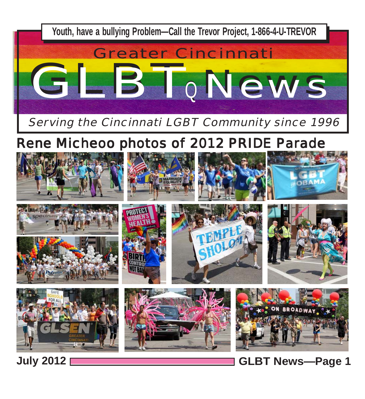

**July 2012 GLBT News***—***Page 1**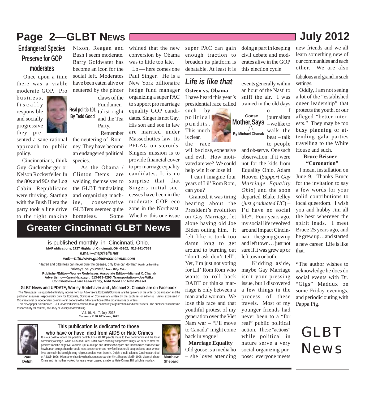# **Page 2—GLBT NEws**  $\sqrt{2012}$

#### **Endangered Species Preserve for GOP moderates**

 Once upon a time there was a viable moderate GOP. Pro

business, fiscally responsible and socially progressive they pre-

sented a sane rational approach to public policy.

 Cincinnatians, think Guy Guckenberger or Nelson Rockerfeller. In the 80s and 90s the Log Cabin Republicans were thriving. Starting with the Bush II era the party took a line drive to the right making



Nixon, Reagan and Bush I seem moderate. Barry Goldwater has become an icon for the social left. Moderates have been eaten alive or neutered by the pincer claws of the

**Real politic 101 By Tedd Good** Fundamentalist right and the Tea Party.

 Remember the neutering of Romney. They have become an endangered political species.

 As the Obama / Clinton Dems are welding themselves to the GLBT fundraising and organizing machine, conservative GLBTers seemed quite homeless. Some

**Greater Cincinnati GLBT News**

whined that the new conversion by Obama was to little too late.

 Lo — here comes one Paul Singer. He is a New York billionaire hedge fund manager organizing a super PAC to support pro marriage equality GOP candidates. Singer is not Gay. His son and son in law are married under Massechuttes law. Its PFLAG on steroids. Singers mission is to provide financial cover to pro marriage equality candidates. It is no surprise that that Singers initial successes have been in the moderate GOP eco zone in the Northeast. Whether this one issue

super PAC can gain enough traction to broaden its platform is debatable. At least it is

#### **Osteen vs. Obama** *Life is like that*

I have heard this year's presidential race called

such by political pundits. This much is clear, the race

will be close, expensive and evil. How motivated are we? We could help win it or lose it!

 I can't imagine four years of Lil' Rom Rom, can you?

 Granted, it was tiring hearing about the President's evolution on Gay Marriage, let alone having old Joe Biden outing him. It felt like it took too damn long to get around to burning out "don't ask don't tell". Yet, I'm just not voting for Lil' Rom Rom who wants to roll back DADT or thinks marriage is only between a man and a woman. We lose this race and that youthful protest of my generation over the Viet Nam war – "I'll move to Canada" might come back in vogue!

#### **Marriage Equality** Old goose is a media ho – she loves attending

doing a part in keeping civil debate and moderates alive in the GOP this election cycle

events generally within an hour of the Nasti to sniff the air. I was trained in the old days



and ob-serve. One such observation: if it were not for the kids from Equality Ohio, Adam Hoover (*Support Gay Marriage Equality Ohio*) and the soon departed Blake Jelley (*just graduated UC*) – I'd have no social life\*. Four years ago, my social life revolved around Impact Cincinnati—the group grew up and left town… just not sure if it was grew up or left town or both.

 Kidding aside, maybe Gay Marriage isn't your pressing issue, but I discovered a few things in the process of these travels. Most of my younger friends had never been to a "for real" public political action. These "actions" while political in nature serve a very social organizing purpose: everyone meets

new friends and we all learn something new of our communities and each other. We are also

fabulous and grand in such settings.

 Oddly, I am not seeing a lot of the "established queer leadership" that protects the youth, or our alleged "better interests." They may be too busy planning or attending gala parties travelling to the White House and such.

#### **Bruce Beisner – "Coronation"**

a new career. Life is like that. I mean, installation on June 9. Thanks Bruce for the invitation to say a few words for your solid contributions to local queerdom. I wish you and hubby Jim all the best wherever the spirit leads. I meet Bruce 25 years ago, and he grew up…and started

\*The author wishes to acknowledge he does do social events with Dr. "Gigs" Maddux on some Friday evenings, and periodic outing with Pappa Pig.

GLBT News

**Paul Delph** It is our goal to record the positive contributions **GLBT** people make to their community and the local

Organizational or Independent columns or in Letters to the Editor are those of the organizations or writers.

responsibility for content, accuracy or validity of Advertising.

#### **This publication is dedicated to those who have or have died from AIDS or Hate Crimes**

**Contents © GLBT News, 2012**

Vol. 16, No. 7; July, 2012

 This Newspaper is supported entirely by income from our Advertisers. Editorials/Opinions are the opinions of the writer or organization and the publisher assumes responsibility only for Editorials, Opinions or Commentary written by the publisher or editor(s). Views expressed in

**GLBT News and UPDATE, Worley Rodehaver and , Michael X. Chanak are on Facebook**

This Newspaper is distributed FREE at Advertisers' locations, through community organizations and other outlets. The publisher assumes no

"Always be yourself," **from** *Billy Elliot*

"Hatred and bitterness can never cure the disease, only love can do that." **Martin Luther King**

**MAP ublications, 1727 Highland, Cincinnati, OH 45202, 513-241-7539**

**e.mail***—map@ella.net* **web***—http:/www.glbtnewscincinnati.com*

is published monthly in Cincinnati, Ohio.

**Publisher/Editor—Worley Rodehaver; Associate Editor—Michael X. Chanak Advertising—Karen Halazayn, 513-979-4295; Transportation—Joe Wilks Contributors—Clare Fazackerley, Tedd Good and Nate Wessel**

community at large. While AIDS and Hate CRIMES are certainly not positive things, we seek to draw the positive from the negative. We hold up Paul Delph and Matthew Shepard and their families as models of how human beings should or could react to each other and how families should support loved ones whose lives are not in the box right wing religious zealots want them in. Delph, a multi-talented Cincinnatian, died of AIDS in 1996. His mother shut down her business to care for him. Shepard died in 1998, victim of a hate Crime and his mother worked for years to get passed a national Hate Crimes Bill, which is now law.

**Matthew Shepard**

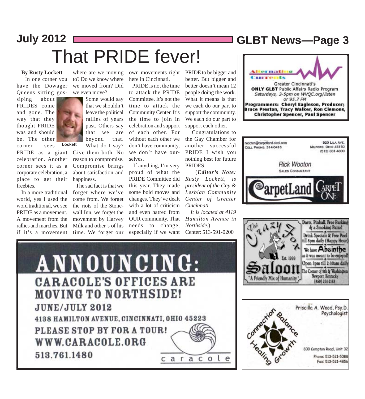# **July 2012 GLBT News***—***Page 3** That PRIDE fever!

#### **By Rusty Lockett**

 In one corner you have the Dowager Queens sitting gos-

siping about PRIDES come and gone. The way that they thought PRIDE was and should be. The other corner sees

celebration. Another corner sees it as a corporate celebration, a place to get their freebies.

 In a more traditional world, yes I used the word traditional, we see PRIDE as a movement. A movement from the rallies and marches. But if it's a movement

where are we moving to? Do we know where we moved from? Did we even move?

**Lockett** Some would say that we shouldn't leave the political rallies of years past. Others say that we are beyond that. What do I say?

about satisfaction and proud of what the PRIDE as a giant Give them both. No reason to compromise. Compromise brings happiness.

> The sad fact is that we forget where we've come from. We forget the riots of the Stonewall Inn, we forget the movement by Harvey Milk and other's of his time. We forget our

own movements right PRIDE to be bigger and here in Cincinnati.

 PRIDE is not the time to attack the PRIDE Committee. It's not the time to attack the Community Center. It's the time to join in celebration and support of each other. For without each other we don't have community, we don't have ourselves.

 If anything, I'm very PRIDE Committee did this year. They made some bold moves and changes. They've dealt with a lot of criticism and even hatred from OUR community. That needs to change, especially if we want

better. But bigger and better doesn't mean 12 people doing the work. What it means is that we each do our part to support the community. We each do our part to support each other.

 Congratulations to the Gay Chamber for another successful PRIDE I wish you nothing best for future PRIDES.

 (*Editor's Note: Rusty Lockett, is president of the Gay & Lesbian Community Center of Greater Cincinnati.*

 *It is located at 4119 Hamilton Avenue in Northside.*) Center: 513-591-0200

Greater Cincinnati's **ONLY GLBT** Public Affairs Radio Program Saturdays, 3-5pm on WVQC.org/listen or 95.7 FM Programmers: Cheryl Eagleson, Producer; Bruce Preston, Tracy Walker, Ron Clemons, **Christopher Spencer, Paul Spencer** 







Darts, Pinball, Free Parking

Psychologist

**BOD Compton Road, Unit 32** 

Phone: 513-521-5088

Fax: 513-521-4856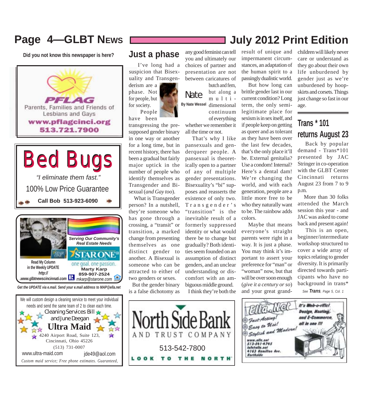# **Page 4—GLBT NEWS**

**Did you not know this newspaper is here?**











#### **Just a phase**

I've long had a suspicion that Bisexuality and Transgenderism are a

phase. Not for people, but for society. People

have been

transgressing the presupposed gender binary in one way or another for a long time, but in recent history, there has been a gradual but fairly major uptick in the number of people who identify themselves as Transgender and Bisexual (*and Gay too*).

 What is Transgender person? In a nutshell, they're someone who has gone through a crossing, a "transit" or transition, a marked change from presenting themselves as one distinct gender to another. A Bisexual is someone who can be attracted to either of two genders or sexes.

 But the gender binary is a false dichotomy as any good feminist can tell you and ultimately our choices of partner and presentation are not between caricatures of

Nate butch and fem, but along a multi-

**By Nate Wessel** dimensional continuum of everything whether we remember it

all the time or not. That's why I like

pansexuals and genderqueer people. A pansexual is theoretically open to a partner of any of multiple gender presentations. Bisexuality's "bi" supposes and reasserts the existence of only two. Transgender's "transition" is the inevitable result of a formerly suppressed identity or what would there be to change but gradually? Both identities seem founded on an assumption of distinct genders, and an unclear understanding or discomfort with an ambiguous middle ground. I think they're both the

result of unique and impermanent circumstances, an adaptation of the human spirit to a passingly dualistic world.

**July 2012 Print Edition**

 But how long can brittle gender last in our current condition? Long term, the only semilegitimate place for sexism is in sex itself, and if people keep on getting as queer and as tolerant as they have been over the last few decades, that's the only place it'll be. External genitalia? Use a condom! Internal? Here's a dental dam! We're changing the world, and with each generation, people are a little more free to be who they naturally want to be. The rainbow adds colors.

 Maybe that means everyone's straight parents were right in a way. It is just a phase. You may think it's important to assert your preference for "man" or "woman" now, but that will be over soon enough (*give it a century or so*) and your great grandchildren will likely never care or understand as they go about their own life unburdened by gender just as we're unburdened by hoopskirts and corsets. Things just change so fast in our age.

## **Trans \* 101 returns August 23**

 Back by popular demand - Trans\*101 presented by JAC Stringer in co-operation with the GLBT Center Cincinnati returns August 23 from 7 to 9 p.m.

 More than 30 folks attended the March session this year - and JAC was asked to come back and present again!

 This is an open, beginner/intermediate workshop structured to cover a wide array of topics relating to gender diversity. It is primarily directed towards participants who have no background in trans\* *See Trans, Page 5, Col. 1*



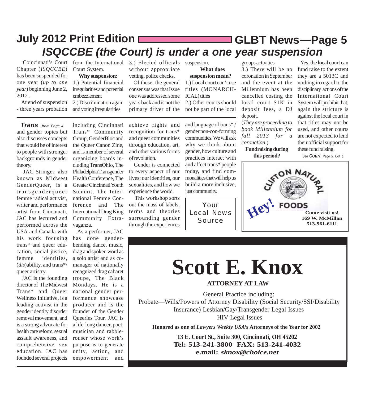# **GLBT News***—***Page 5 July 2012 Print Edition** *ISQCCBE (the Court) is under a one year suspension*

Chapter (*ISQCCBE*) has been suspended for one year (*up to one year*) beginning June 2, 2012 .

 At end of suspension - three years probation

Court System.

**Why suspension:** 1.) Potential financial irregularities and potential embezzlement 2.) Discrimination again

and voting irregularities

 Coincinnati's Court from the International 3.) Elected officials suspension. without appropriate vetting, police checks.

> Of these, the general consensus was that Issue one was addressed some years back and is not the primary driver of the

> achieve rights and recognition for trans\* and queer communities through education, art, and other various forms

 Gender is connected to every aspect of our lives; our identities, our sexualities, and how we experience the world. This workshop sorts out the mass of labels, terms and theories surrounding gender through the experiences

of revolution.

**What does**

**suspension mean?** 1.) Local court can't use titles (MONARCH-ICAL) titles 2.) Other courts should not be part of the local

and language of trans\* / gender non-con-forming communities. We will ask why we think about gender, how culture and practices interact with and affect trans\* people today, and find commonalities that will help us build a more inclusive, just community.

Your Local News **Source** 

groups activities 3.) There will be no coronation in September and the event at the Millennium has been cancelled costing the local court \$1K in deposit fees, a DJ deposit.

(*They are proceeding to book Millennium for fall 2013 for a coronation.*)

**Fundraising during this period?**

 Yes, the local court can fund raise to the extent they are a 5013C and nothing in regard to the disciplinary actions of the International Court System will prohibit that, again the stricture is against the local court in that titles may not be used, and other courts are not expected to lend their official support for these fund raising.

*See Court, Page 5, Col. 1*



# **Scott E. Knox**

**ATTORNEY AT LAW**

General Practice including: Probate—Wills/Powers of Attorney Disability (Social Security/SSI/Disability Insurance) Lesbian/Gay/Transgender Legal Issues HIV Legal Issues

**Honored as one of** *Lawyers Weekly USA's* **Attorneys of the Year for 2002**

**13 E. Court St., Suite 300, Cincinnati, OH 45202 Tel: 513-241-3800 FAX: 513-241-4032 e.mail:** *sknox@choice.net*

and gender topics but also discusses concepts that would be of interest to people with stronger backgrounds in gender theory. *Trans—from Page 4*

 JAC Stringer, also known as Midwest GenderQueer, is a transgenderqueer femme radical activist, writer and performance artist from Cincinnati. JAC has lectured and performed across the USA and Canada with his work focusing trans\* and queer education, social justice, femme identities, (*dis*)ability, and trans\*/ queer artistry.

 JAC is the founding director of The Midwest Trans\* and Queer Wellness Initiative, is a leading activist in the gender identity disorder removal movement, and is a strong advocate for health care reform, sexual assault awareness, and comprehensive sex education. JAC has founded several projects

including Cincinnati Trans\* Community Group, GenderBloc and the Queer Canon Zine, and is member of several organizing boards including TransOhio, The Philadelphia Transgender Health Conference, The Greater Cincinnati Youth Summit, The International Femme Conference and The International Drag King Community Extravaganza.

 As a performer, JAC has done genderbending dance, music, drag and spoken word as a solo artist and as comanager of nationally recognized drag cabaret troupe, The Black Mondays. He is a national gender performance showcase producer and is the founder of the Gender Queeries Tour. JAC is a life-long dancer, poet, musician and rabblerouser whose work's purpose is to generate unity, action, and empowerment and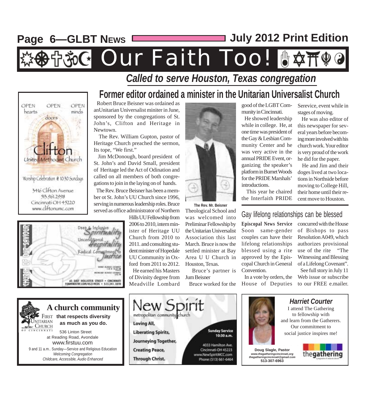# **Page 6—GLBT NEWS July 2012 Print Edition**

# Our Faith Too! U#T!

## *Called to serve Houston, Texas congregation*







## **Former editor ordained a minister in the Unitarian Universalist Church**

 Robert Bruce Beisner was ordained as anUnitarian Universalist miniter in June, sponsored by the congregations of St. John's, Clifton and Heritage in Newtown.

 The Rev. William Gupton, pastor of Heritage Church preached the sermon, Its tope, "We first."

 Jim McDonough, board president of St. John's and David Small, president of Heritage led the Act of Odination and called on all members of both congregations to join in the laying on of hands.

 The Rev. Bruce Beisner has been a member ot St. John's UU Church since 1996, serving in numerous leadership roles. Bruce served as office administrator of Northern

> Hills UU Fellowship from 2006 to 2010, intern minister of Heritage UU Church from 2010 to 2011. and consulting student minister of Hopedale UU Community in Oxford from 2011 to 2012.

 He earned his Masters of Divinity degree from Meadville Lombard



**The Rev. Mr. Beisner**

Theological School and was welcomed into Preliminar Fellowship by the Unitarian Universalist Association this last March. Bruce is now the settled minister at Bay Area U U Church in Houston, Texas.

 Bruce's partner is Jum Beisner

Bruce worked for the

good of the LGBT Community in Cincinnati.

 He showed leadership while in college. He, at one time was president of the Gay & Lesbian Community Center and he was very active in the annual PRIDE Event, organizing the speaker's platform in Burnet Woods for the PRIDE Marshals' introductions.

 This year he chaired the Interfaith PRIDE

#### Serevice, event while in stages of moving.

 He was also editor of this newspaper for several years before becoming more involved with his church work. Your editor is very proud of the work he did for the paper.

 He and Jim and their doges lived at two locations in Northside before moving to College Hill, their home until their recent move to Houston.

Gay lifelong relationships can be blessed

**Episcopal News Service** Soon same-gender couples can have their lifelong relationships blessed using a rite approved by the Episcopal Church in General Convention.

 In a vote by orders, the House of Deputies

concurred with the House of Bishops to pass Resolution A049, which authorizes provisional use of the rite "The Witnessing and Blessing of a Lifelong Covenant". See full story in July 11 Web issue or subscribe

to our FREE e.mailer.

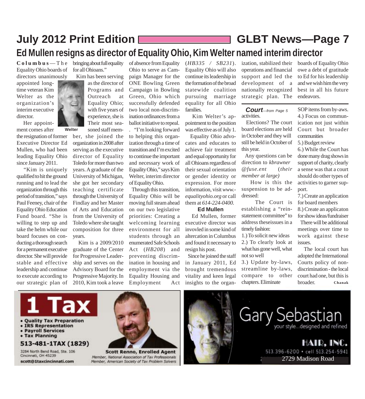# **July 2012 Print Edition GLBT News***—***Page 7 Ed Mullen resigns as director of Equality Ohio, Kim Welter named interim director**

 $C$  o l  $u$  m  $b$   $u$   $s$   $-$  T  $h$   $e$  bringing about full equality Equality Ohio boards of directors unanimously

appointed longtime veteran Kim Welter as the organization's interim executive director.

Her appoint-

ment comes after **Welter** the resignation of former Executive Director Ed Mullen, who had been leading Equality Ohio since January 2011.

 "Kim is uniquely qualified to hit the ground running and to lead the organization through this period of transition," says Paul Feeney, chair of the Equality Ohio Education Fund board. "She is willing to step up and take the helm while our board focuses on conducting a thorough search for a permanent executive director. She will provide stable and effective leadership and continue to execute according to our strategic plan of for all Ohioans." Kim has been serving

as the director of Programs and Outreach at Equality Ohio; with five years of experience, she is Their most seasoned staff mem-

ber, she joined the organization in 2008 after serving as the executive director of Equality Toledo for more than two years. A graduate of the University of Michigan, she got her secondary teaching certificate through the University of Findlay and her Master of Arts and Education from the University of Toledo where she taught composition for three years.

 Kim is a 2009/2010 graduate of the Center for Progressive Leadership and serves on the Advisory Board for the Progressive Majority. In 2010, Kim took a leave

Ohio to serve as Campaign Manager for the ONE Bowling Green Campaign in Bowling Green, Ohio which successfully defended two local non-discrimination ordinances from a ballot initiative to repeal. . "I'm looking forward to helping this organization through a time of transition and I'm excited to continue the important and necessary work of Equality Ohio," says Kim Welter, interim director of Equality Ohio.

of absence from Equality

 Through this transition, Equality Ohio will be moving full steam ahead on our two legislative priorities: Creating a welcoming learning environment for all students through an enumerated Safe Schools Act (*HB208*) and preventing discrimination in housing and employment via the Equality Housing and Employment Act

(*HB335 / SB231*). Equality Ohio will also continue its leadership in the formation of the broad statewide coalition pursuing marriage equality for all Ohio families.

 Kim Welter's appointment to the position was effective as of July 1.

 Equality Ohio advocates and educates to achieve fair treatment and equal opportunity for all Ohioans regardless of their sexual orientation or gender identity or expression. For more information, visit *www. equalityohio.org* or call them at *614-224-0400.*

**Ed Mullen**

 Ed Mullen, former executive director was invovled in some kind of altercation in Columbus and found it necessary to resign his post.

 Since he joined the staff in January 2011, Ed brought tremendous vitality and keen legal insights to the organization, stabilized their operations and financial support and led the development of a nationally recognized strategic plan. The

activities. *Court—from Page 5*

 Elections? The court board elections are held in October and they will still be held in October of this year.

 Any questions can be direction to *kbrawner @fuse.ent* (*their member at large)*

 How is this the suspension to be addressed:

 The Court is establishing a "reinstatement committee" to address theseissues in a timely fashion:

1.) To solicit new ideas 2.) To clearly look at what has gone well, what not so well

3.) Update by-laws, streamline by-laws, compare to other chapters. Eliminate

boards of Equality Ohio owe a debt of gratitude to Ed for his leadership and we wish him the very best in all his future endeavors.

SOP items from by-aws. 4.) Focus on communication not just within Court but broader communities

5.) Budget review

6.) While the Court has done many drag shows in support of charity, clearly a sense was that a court should do other types of activities to garner support.

7.) Create an application for board members

8.) Create an applicaton for show ideas/fundraiser There will be additional meetings over time to work against these issues.

 The local court has adopted the International Courts policy of nondiscrimination - the local court had one, but this is broader. **Chanak**

HAID, INC.

2729 Madison Road

513.396-6200 · cell 513.254-5941

your style...designed and refined



- . Quality Tax Preparation
- IRS Representation
- Payroll Services
- Tax Planning

#### 513-481-1TAX (1829)

3284 North Bend Road, Ste. 106 Cincinnati, OH 45239 scott@1taxcincinnati.com



**Scott Renno, Enrolled Agent** Member, National Association of Tax Professionals<br>Member, American Society of Tax Problem Solvers